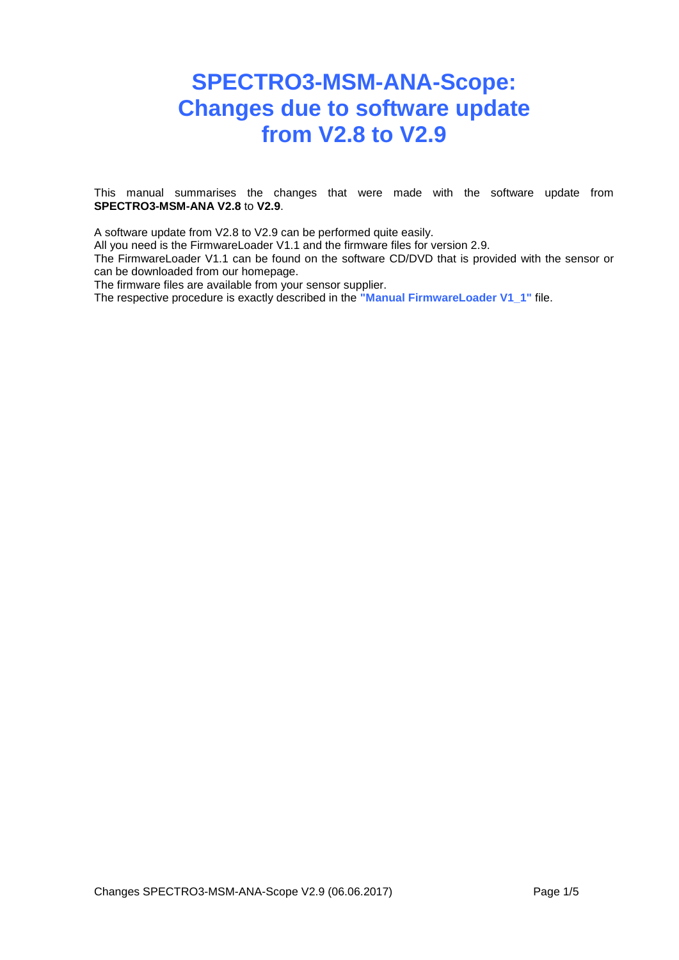# **SPECTRO3-MSM-ANA-Scope: Changes due to software update from V2.8 to V2.9**

This manual summarises the changes that were made with the software update from **SPECTRO3-MSM-ANA V2.8** to **V2.9**.

A software update from V2.8 to V2.9 can be performed quite easily.

All you need is the FirmwareLoader V1.1 and the firmware files for version 2.9.

The FirmwareLoader V1.1 can be found on the software CD/DVD that is provided with the sensor or can be downloaded from our homepage.

The firmware files are available from your sensor supplier.

The respective procedure is exactly described in the **"Manual FirmwareLoader V1\_1"** file.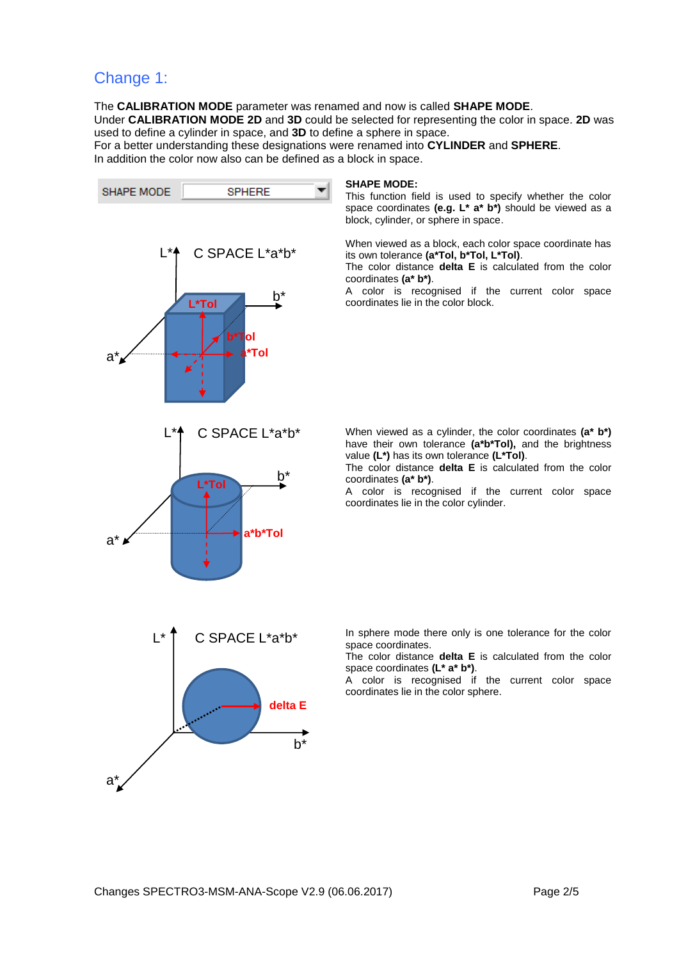### Change 1:

The **CALIBRATION MODE** parameter was renamed and now is called **SHAPE MODE**. Under **CALIBRATION MODE 2D** and **3D** could be selected for representing the color in space. **2D** was used to define a cylinder in space, and **3D** to define a sphere in space.

For a better understanding these designations were renamed into **CYLINDER** and **SPHERE**. In addition the color now also can be defined as a block in space.



#### **SHAPE MODE:**

This function field is used to specify whether the color space coordinates **(e.g. L\* a\* b\*)** should be viewed as a block, cylinder, or sphere in space.

When viewed as a block, each color space coordinate has its own tolerance **(a\*Tol, b\*Tol, L\*Tol)**.

The color distance **delta E** is calculated from the color coordinates **(a\* b\*)**.

A color is recognised if the current color space coordinates lie in the color block.

When viewed as a cylinder, the color coordinates **(a\* b\*)** have their own tolerance **(a\*b\*Tol),** and the brightness value **(L\*)** has its own tolerance **(L\*Tol)**.

The color distance **delta E** is calculated from the color coordinates **(a\* b\*)**.

A color is recognised if the current color space coordinates lie in the color cylinder.

In sphere mode there only is one tolerance for the color space coordinates.

The color distance **delta E** is calculated from the color space coordinates **(L\* a\* b\*)**.

A color is recognised if the current color space coordinates lie in the color sphere.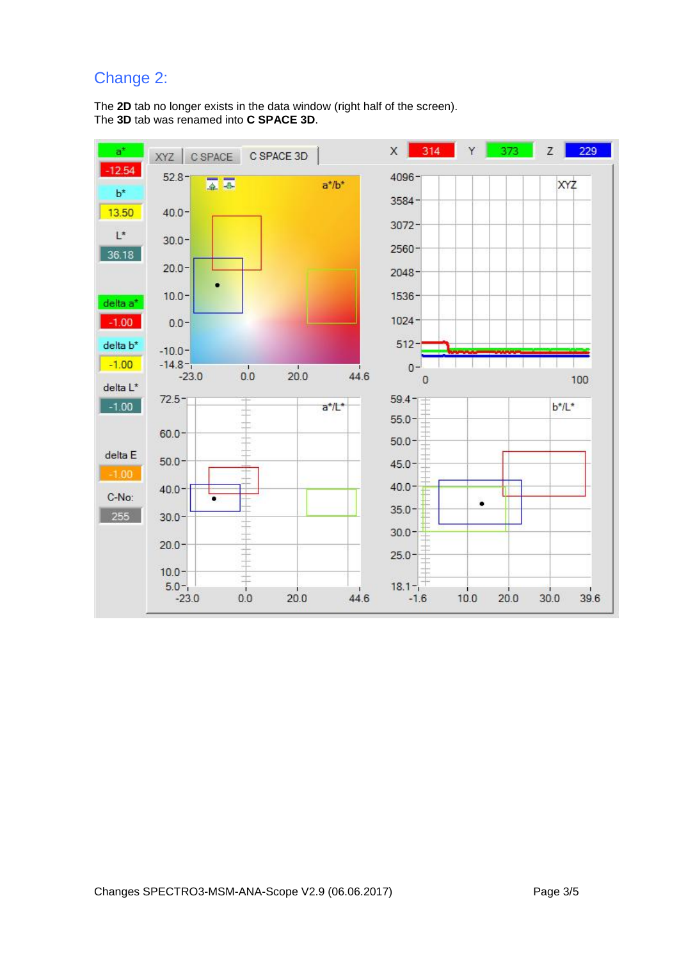# Change 2:

The **2D** tab no longer exists in the data window (right half of the screen). The **3D** tab was renamed into **C SPACE 3D**.

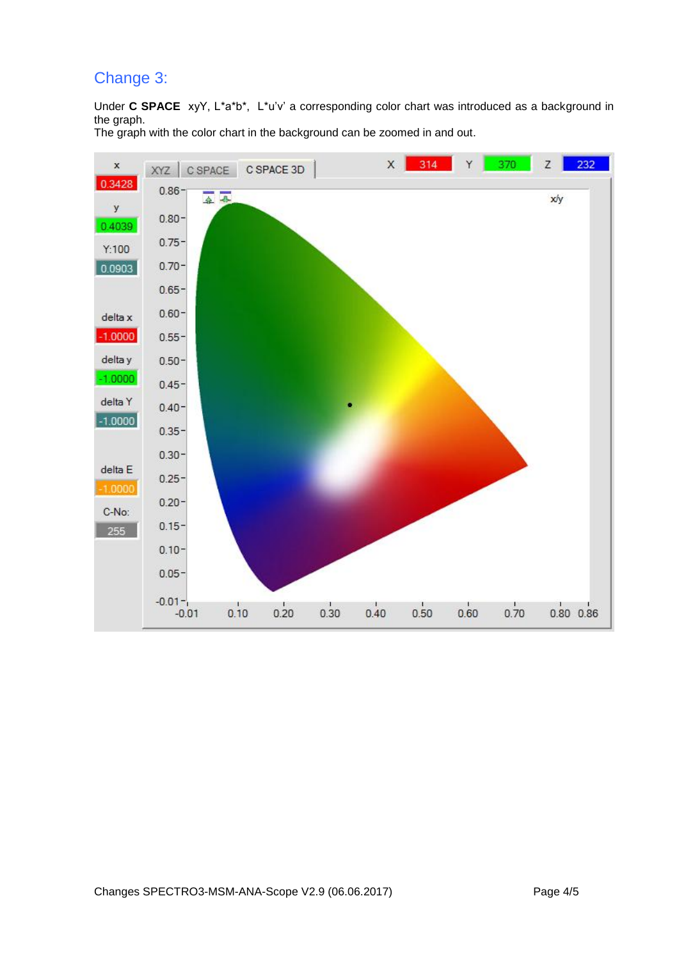# Change 3:

Under **C SPACE** xyY, L\*a\*b\*, L\*u'v' a corresponding color chart was introduced as a background in the graph.

The graph with the color chart in the background can be zoomed in and out.